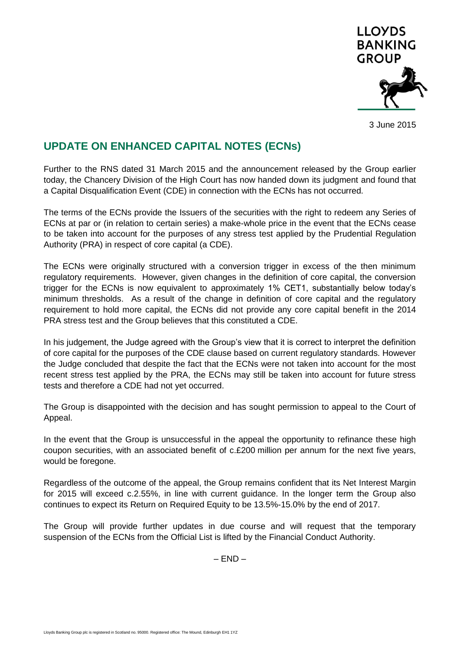

3 June 2015

## **UPDATE ON ENHANCED CAPITAL NOTES (ECNs)**

Further to the RNS dated 31 March 2015 and the announcement released by the Group earlier today, the Chancery Division of the High Court has now handed down its judgment and found that a Capital Disqualification Event (CDE) in connection with the ECNs has not occurred.

The terms of the ECNs provide the Issuers of the securities with the right to redeem any Series of ECNs at par or (in relation to certain series) a make-whole price in the event that the ECNs cease to be taken into account for the purposes of any stress test applied by the Prudential Regulation Authority (PRA) in respect of core capital (a CDE).

The ECNs were originally structured with a conversion trigger in excess of the then minimum regulatory requirements. However, given changes in the definition of core capital, the conversion trigger for the ECNs is now equivalent to approximately 1% CET1, substantially below today's minimum thresholds. As a result of the change in definition of core capital and the regulatory requirement to hold more capital, the ECNs did not provide any core capital benefit in the 2014 PRA stress test and the Group believes that this constituted a CDE.

In his judgement, the Judge agreed with the Group's view that it is correct to interpret the definition of core capital for the purposes of the CDE clause based on current regulatory standards. However the Judge concluded that despite the fact that the ECNs were not taken into account for the most recent stress test applied by the PRA, the ECNs may still be taken into account for future stress tests and therefore a CDE had not yet occurred.

The Group is disappointed with the decision and has sought permission to appeal to the Court of Appeal.

In the event that the Group is unsuccessful in the appeal the opportunity to refinance these high coupon securities, with an associated benefit of c.£200 million per annum for the next five years, would be foregone.

Regardless of the outcome of the appeal, the Group remains confident that its Net Interest Margin for 2015 will exceed c.2.55%, in line with current guidance. In the longer term the Group also continues to expect its Return on Required Equity to be 13.5%-15.0% by the end of 2017.

The Group will provide further updates in due course and will request that the temporary suspension of the ECNs from the Official List is lifted by the Financial Conduct Authority.

 $-$  END  $-$